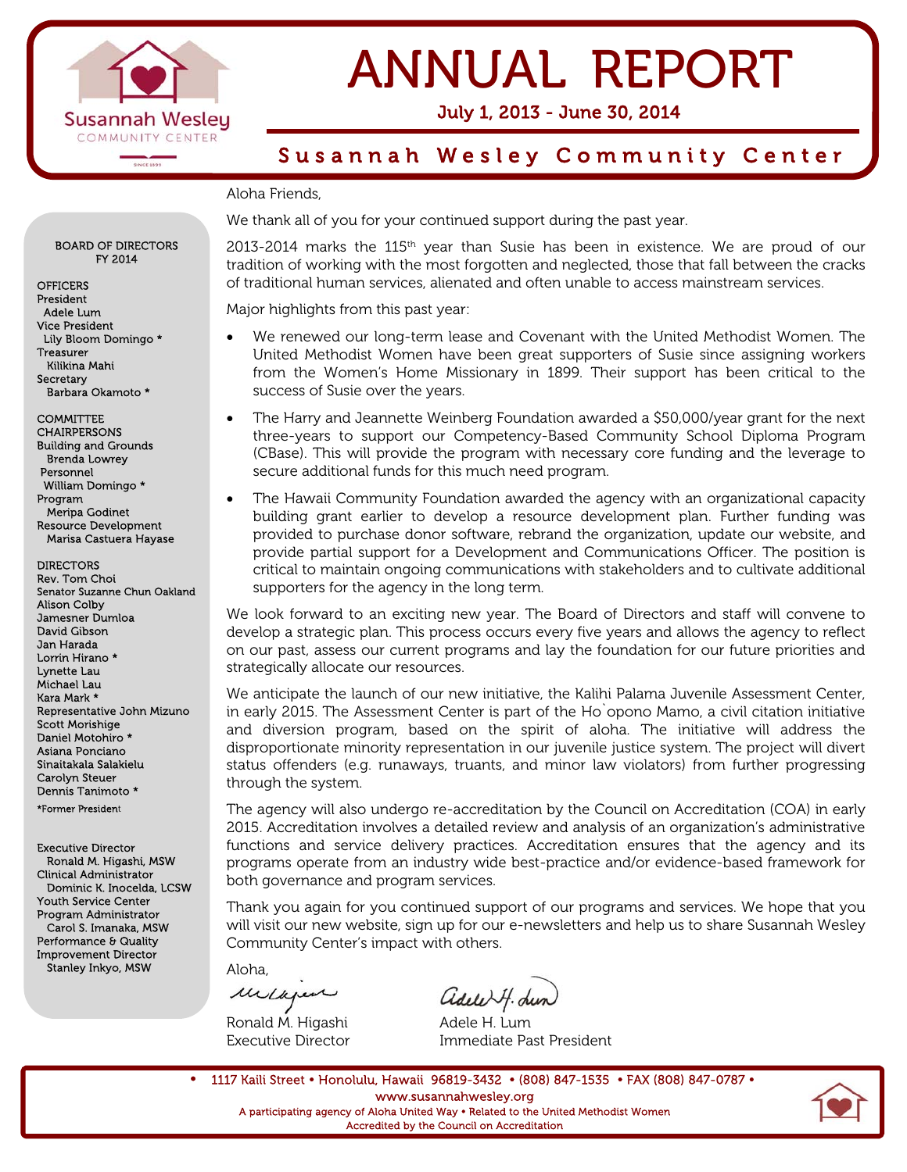

## ANNUAL REPORT

July 1, 2013 - June 30, 2014

### Susannah Wesley Community Center

### Aloha Friends,

We thank all of you for your continued support during the past year.

2013-2014 marks the 115<sup>th</sup> year than Susie has been in existence. We are proud of our tradition of working with the most forgotten and neglected, those that fall between the cracks of traditional human services, alienated and often unable to access mainstream services.

Major highlights from this past year:

- We renewed our long-term lease and Covenant with the United Methodist Women. The United Methodist Women have been great supporters of Susie since assigning workers from the Women's Home Missionary in 1899. Their support has been critical to the success of Susie over the years.
- The Harry and Jeannette Weinberg Foundation awarded a \$50,000/year grant for the next three-years to support our Competency-Based Community School Diploma Program (CBase). This will provide the program with necessary core funding and the leverage to secure additional funds for this much need program.
- The Hawaii Community Foundation awarded the agency with an organizational capacity building grant earlier to develop a resource development plan. Further funding was provided to purchase donor software, rebrand the organization, update our website, and provide partial support for a Development and Communications Officer. The position is critical to maintain ongoing communications with stakeholders and to cultivate additional supporters for the agency in the long term.

We look forward to an exciting new year. The Board of Directors and staff will convene to develop a strategic plan. This process occurs every five years and allows the agency to reflect on our past, assess our current programs and lay the foundation for our future priorities and strategically allocate our resources.

We anticipate the launch of our new initiative, the Kalihi Palama Juvenile Assessment Center, in early 2015. The Assessment Center is part of the Ho`opono Mamo, a civil citation initiative and diversion program, based on the spirit of aloha. The initiative will address the disproportionate minority representation in our juvenile justice system. The project will divert status offenders (e.g. runaways, truants, and minor law violators) from further progressing through the system.

The agency will also undergo re-accreditation by the Council on Accreditation (COA) in early 2015. Accreditation involves a detailed review and analysis of an organization's administrative functions and service delivery practices. Accreditation ensures that the agency and its programs operate from an industry wide best-practice and/or evidence-based framework for both governance and program services.

Thank you again for you continued support of our programs and services. We hope that you will visit our new website, sign up for our e-newsletters and help us to share Susannah Wesley Community Center's impact with others.

Aloha,

Melapen

Ronald M. Higashi **Adele H. Lum** 

Executive Director Immediate Past President

1117 Kaili Street • Honolulu, Hawaii 96819-3432 • (808) 847-1535 • FAX (808) 847-0787 • www.susannahwesley.org A participating agency of Aloha United Way Related to the United Methodist Women Accredited by the Council on Accreditation



BOARD OF DIRECTORS FY 2014

OFFICERS President Adele Lum Vice President Lily Bloom Domingo \* Treasurer Kilikina Mahi **Secretary** Barbara Okamoto \*

**COMMITTEE** CHAIRPERSONS Building and Grounds Brenda Lowrey Personnel William Domingo \* Program Meripa Godinet Resource Development Marisa Castuera Hayase

DIRECTORS Rev. Tom Choi Senator Suzanne Chun Oakland Alison Colby Jamesner Dumloa David Gibson Jan Harada Lorrin Hirano \* Lynette Lau Michael Lau Kara Mark \* Representative John Mizuno Scott Morishige Daniel Motohiro \* Asiana Ponciano Sinaitakala Salakielu Carolyn Steuer Dennis Tanimoto \* \*Former President

Executive Director Ronald M. Higashi, MSW Clinical Administrator Dominic K. Inocelda, LCSW Youth Service Center Program Administrator Carol S. Imanaka, MSW Performance & Quality Improvement Director Stanley Inkyo, MSW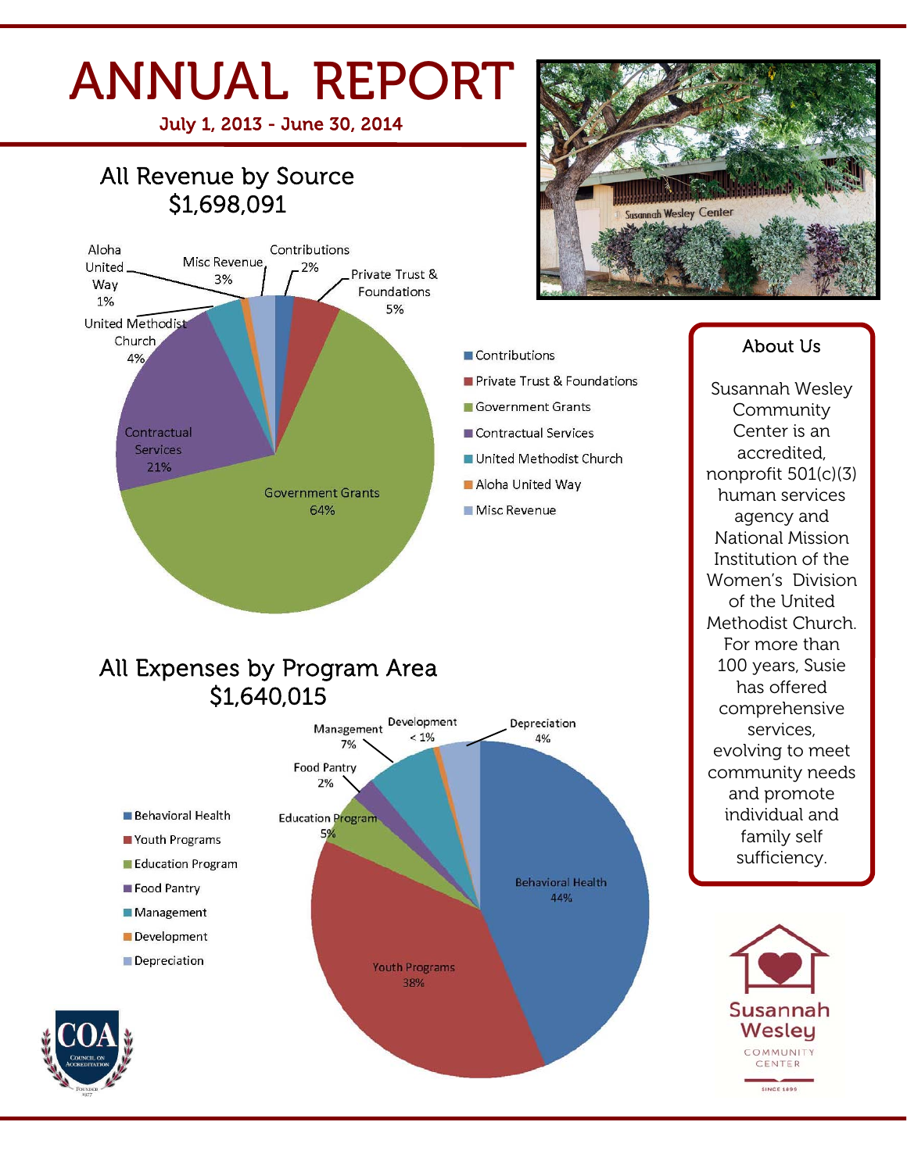# ANNUAL REPORT

July 1, 2013 - June 30, 2014

### All Revenue by Source \$1,698,091





### Contributions

- Private Trust & Foundations
- Government Grants
- Contractual Services
- United Methodist Church
- Aloha United Way
- Misc Revenue

### All Expenses by Program Area \$1,640,015



### **Community** Center is an accredited, nonprofit 501(c)(3) human services agency and National Mission Institution of the Women's Division of the United Methodist Church. For more than 100 years, Susie has offered

About Us

Susannah Wesley

comprehensive services, evolving to meet community needs and promote individual and family self sufficiency.